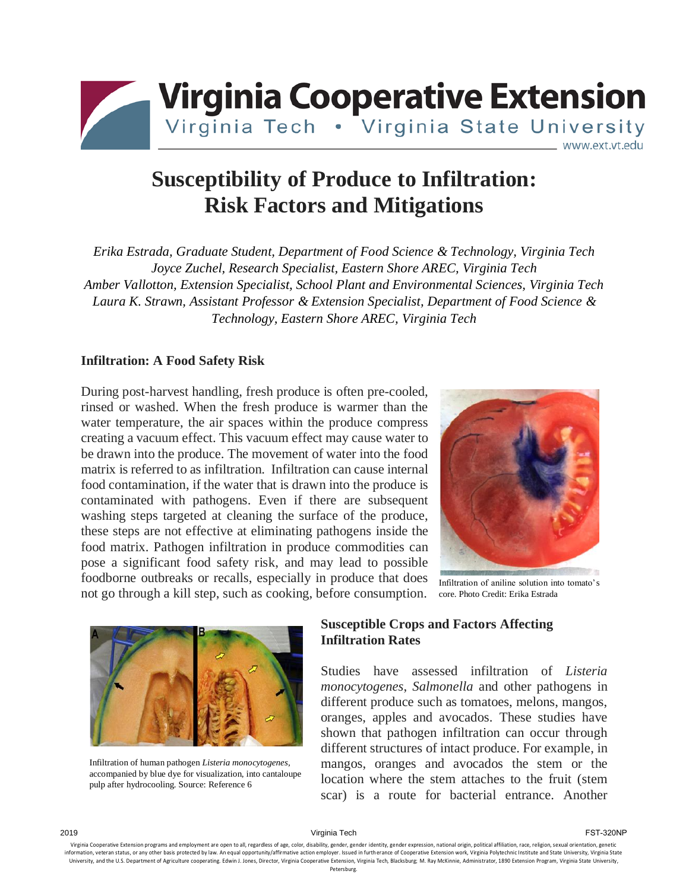

# **Susceptibility of Produce to Infiltration: Risk Factors and Mitigations**

*Erika Estrada, Graduate Student, Department of Food Science & Technology, Virginia Tech Joyce Zuchel, Research Specialist, Eastern Shore AREC, Virginia Tech Amber Vallotton, Extension Specialist, School Plant and Environmental Sciences, Virginia Tech Laura K. Strawn, Assistant Professor & Extension Specialist, Department of Food Science & Technology, Eastern Shore AREC, Virginia Tech*

#### **Infiltration: A Food Safety Risk**

During post-harvest handling, fresh produce is often pre-cooled, rinsed or washed. When the fresh produce is warmer than the water temperature, the air spaces within the produce compress creating a vacuum effect. This vacuum effect may cause water to be drawn into the produce. The movement of water into the food matrix is referred to as infiltration. Infiltration can cause internal food contamination, if the water that is drawn into the produce is contaminated with pathogens. Even if there are subsequent washing steps targeted at cleaning the surface of the produce, these steps are not effective at eliminating pathogens inside the food matrix. Pathogen infiltration in produce commodities can pose a significant food safety risk, and may lead to possible foodborne outbreaks or recalls, especially in produce that does not go through a kill step, such as cooking, before consumption.



Infiltration of aniline solution into tomato's core. Photo Credit: Erika Estrada



Infiltration of human pathogen *Listeria monocytogenes*, accompanied by blue dye for visualization, into cantaloupe pulp after hydrocooling. Source: Reference 6

#### **Susceptible Crops and Factors Affecting Infiltration Rates**

Studies have assessed infiltration of *Listeria monocytogenes*, *Salmonella* and other pathogens in different produce such as tomatoes, melons, mangos, oranges, apples and avocados. These studies have shown that pathogen infiltration can occur through different structures of intact produce. For example, in mangos, oranges and avocados the stem or the location where the stem attaches to the fruit (stem scar) is a route for bacterial entrance. Another

2019 Virginia Tech FST-320NP

Virginia Cooperative Extension programs and employment are open to all, regardless of age, color, disability, gender, gender identity, gender expression, national origin, political affiliation, race, religion, sexual orien information, veteran status, or any other basis protected by law. An equal opportunity/affirmative action employer, Issued in furth erance of Cooperative Extension work. Virginia Polytechnic Institute and State University, University, and the U.S. Department of Agriculture cooperating. Edwin J. Jones, Director, Virginia Cooperative Extension, Virginia Tech, Blacksburg; M. Ray McKinnie, Administrator, 1890 Extension Program, Virginia State Un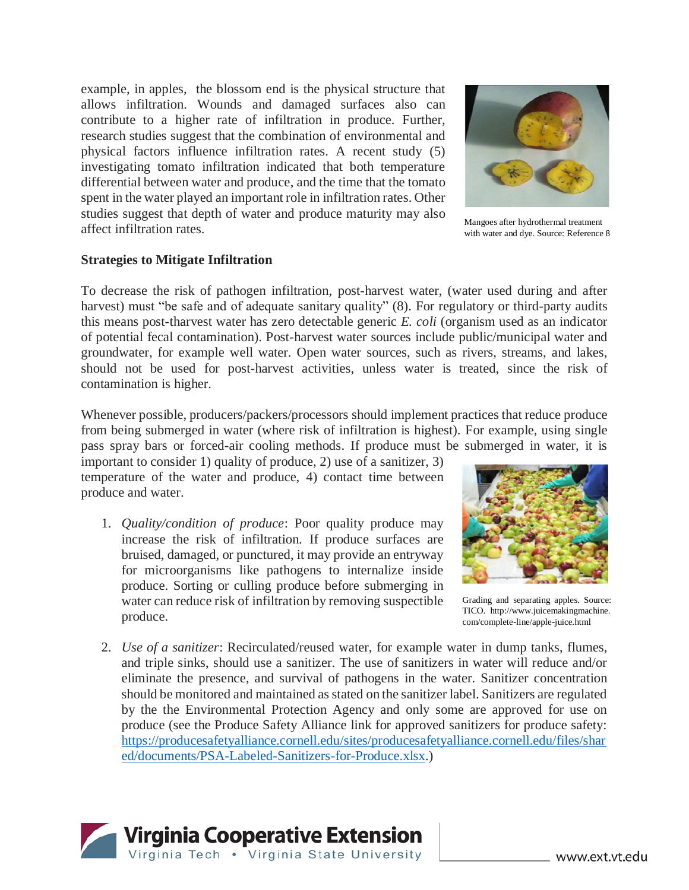example, in apples, the blossom end is the physical structure that allows infiltration. Wounds and damaged surfaces also can contribute to a higher rate of infiltration in produce. Further, research studies suggest that the combination of environmental and physical factors influence infiltration rates. A recent study (5) investigating tomato infiltration indicated that both temperature differential between water and produce, and the time that the tomato spent in the water played an important role in infiltration rates. Other studies suggest that depth of water and produce maturity may also affect infiltration rates.

Mangoes after hydrothermal treatment with water and dye. Source: Reference 8

#### **Strategies to Mitigate Infiltration**

To decrease the risk of pathogen infiltration, post-harvest water, (water used during and after harvest) must "be safe and of adequate sanitary quality" (8). For regulatory or third-party audits this means post-tharvest water has zero detectable generic *E. coli* (organism used as an indicator of potential fecal contamination). Post-harvest water sources include public/municipal water and groundwater, for example well water. Open water sources, such as rivers, streams, and lakes, should not be used for post-harvest activities, unless water is treated, since the risk of contamination is higher.

Whenever possible, producers/packers/processors should implement practices that reduce produce from being submerged in water (where risk of infiltration is highest). For example, using single pass spray bars or forced-air cooling methods. If produce must be submerged in water, it is

important to consider 1) quality of produce, 2) use of a sanitizer, 3) temperature of the water and produce, 4) contact time between produce and water.

- 1. *Quality/condition of produce*: Poor quality produce may increase the risk of infiltration. If produce surfaces are bruised, damaged, or punctured, it may provide an entryway for microorganisms like pathogens to internalize inside produce. Sorting or culling produce before submerging in water can reduce risk of infiltration by removing suspectible produce.
- Grading and separating apples. Source:

TICO.\_http://www.juicemakingmachine. com/complete-line/apple-juice.html

2. *Use of a sanitizer*: Recirculated/reused water, for example water in dump tanks, flumes, and triple sinks, should use a sanitizer. The use of sanitizers in water will reduce and/or eliminate the presence, and survival of pathogens in the water. Sanitizer concentration should be monitored and maintained as stated on the sanitizer label. Sanitizers are regulated by the the Environmental Protection Agency and only some are approved for use on produce (see the Produce Safety Alliance link for approved sanitizers for produce safety: [https://producesafetyalliance.cornell.edu/sites/producesafetyalliance.cornell.edu/files/shar](https://producesafetyalliance.cornell.edu/sites/producesafetyalliance.cornell.edu/files/shared/documents/PSA-Labeled-Sanitizers-for-Produce.xlsx) [ed/documents/PSA-Labeled-Sanitizers-for-Produce.xlsx.](https://producesafetyalliance.cornell.edu/sites/producesafetyalliance.cornell.edu/files/shared/documents/PSA-Labeled-Sanitizers-for-Produce.xlsx))





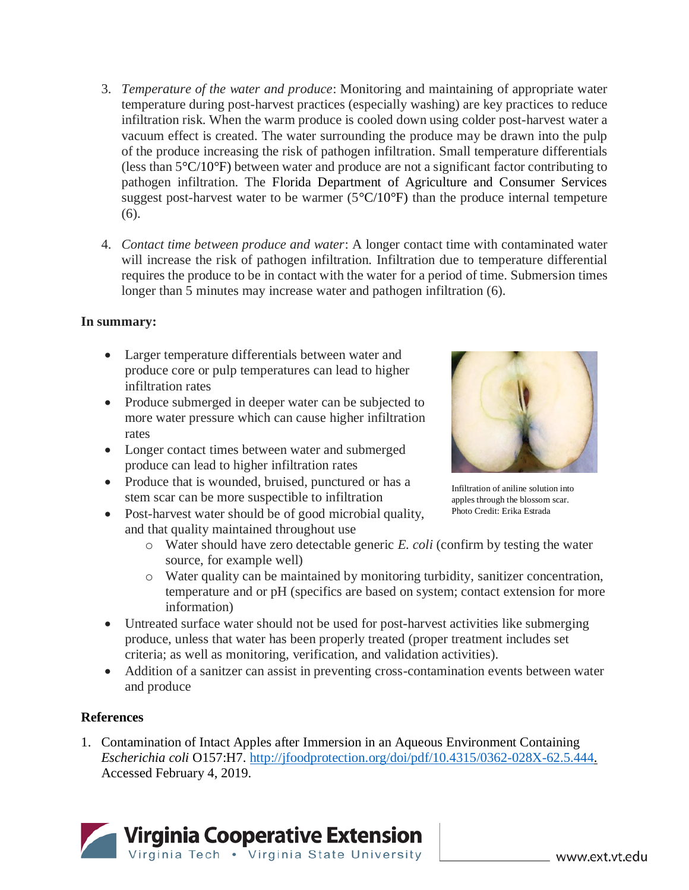- 3. *Temperature of the water and produce*: Monitoring and maintaining of appropriate water temperature during post-harvest practices (especially washing) are key practices to reduce infiltration risk. When the warm produce is cooled down using colder post-harvest water a vacuum effect is created. The water surrounding the produce may be drawn into the pulp of the produce increasing the risk of pathogen infiltration. Small temperature differentials (less than 5°C/10°F) between water and produce are not a significant factor contributing to pathogen infiltration. The Florida Department of Agriculture and Consumer Services suggest post-harvest water to be warmer  $(5^{\circ}C/10^{\circ}F)$  than the produce internal tempeture (6).
- 4. *Contact time between produce and water*: A longer contact time with contaminated water will increase the risk of pathogen infiltration. Infiltration due to temperature differential requires the produce to be in contact with the water for a period of time. Submersion times longer than 5 minutes may increase water and pathogen infiltration (6).

### **In summary:**

- Larger temperature differentials between water and produce core or pulp temperatures can lead to higher infiltration rates
- Produce submerged in deeper water can be subjected to more water pressure which can cause higher infiltration rates
- Longer contact times between water and submerged produce can lead to higher infiltration rates
- Produce that is wounded, bruised, punctured or has a stem scar can be more suspectible to infiltration
- Post-harvest water should be of good microbial quality, and that quality maintained throughout use



Infiltration of aniline solution into apples through the blossom scar. Photo Credit: Erika Estrada

- o Water should have zero detectable generic *E. coli* (confirm by testing the water source, for example well)
- o Water quality can be maintained by monitoring turbidity, sanitizer concentration, temperature and or pH (specifics are based on system; contact extension for more information)
- Untreated surface water should not be used for post-harvest activities like submerging produce, unless that water has been properly treated (proper treatment includes set criteria; as well as monitoring, verification, and validation activities).
- Addition of a sanitzer can assist in preventing cross-contamination events between water and produce

## **References**

1. Contamination of Intact Apples after Immersion in an Aqueous Environment Containing *Escherichia coli* O157:H7. [http://jfoodprotection.org/doi/pdf/10.4315/0362-028X-62.5.444.](http://jfoodprotection.org/doi/pdf/10.4315/0362-028X-62.5.444) Accessed February 4, 2019.